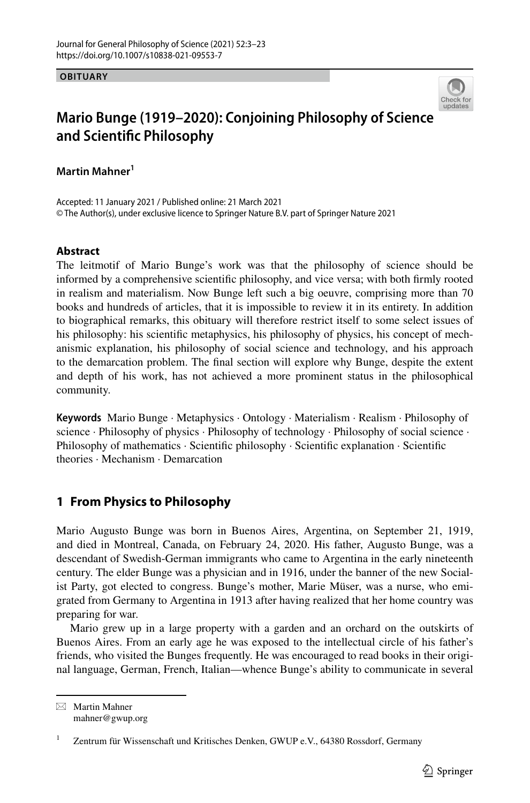**OBITUARY**



# **Mario Bunge (1919–2020): Conjoining Philosophy of Science and Scientifc Philosophy**

**Martin Mahner1**

Accepted: 11 January 2021 / Published online: 21 March 2021 © The Author(s), under exclusive licence to Springer Nature B.V. part of Springer Nature 2021

### **Abstract**

The leitmotif of Mario Bunge's work was that the philosophy of science should be informed by a comprehensive scientifc philosophy, and vice versa; with both frmly rooted in realism and materialism. Now Bunge left such a big oeuvre, comprising more than 70 books and hundreds of articles, that it is impossible to review it in its entirety. In addition to biographical remarks, this obituary will therefore restrict itself to some select issues of his philosophy: his scientifc metaphysics, his philosophy of physics, his concept of mechanismic explanation, his philosophy of social science and technology, and his approach to the demarcation problem. The fnal section will explore why Bunge, despite the extent and depth of his work, has not achieved a more prominent status in the philosophical community.

**Keywords** Mario Bunge · Metaphysics · Ontology · Materialism · Realism · Philosophy of science · Philosophy of physics · Philosophy of technology · Philosophy of social science · Philosophy of mathematics · Scientifc philosophy · Scientifc explanation · Scientifc theories · Mechanism · Demarcation

## <span id="page-0-0"></span>**1 From Physics to Philosophy**

Mario Augusto Bunge was born in Buenos Aires, Argentina, on September 21, 1919, and died in Montreal, Canada, on February 24, 2020. His father, Augusto Bunge, was a descendant of Swedish-German immigrants who came to Argentina in the early nineteenth century. The elder Bunge was a physician and in 1916, under the banner of the new Socialist Party, got elected to congress. Bunge's mother, Marie Müser, was a nurse, who emigrated from Germany to Argentina in 1913 after having realized that her home country was preparing for war.

Mario grew up in a large property with a garden and an orchard on the outskirts of Buenos Aires. From an early age he was exposed to the intellectual circle of his father's friends, who visited the Bunges frequently. He was encouraged to read books in their original language, German, French, Italian—whence Bunge's ability to communicate in several

 $\boxtimes$  Martin Mahner mahner@gwup.org

<sup>&</sup>lt;sup>1</sup> Zentrum für Wissenschaft und Kritisches Denken, GWUP e.V., 64380 Rossdorf, Germany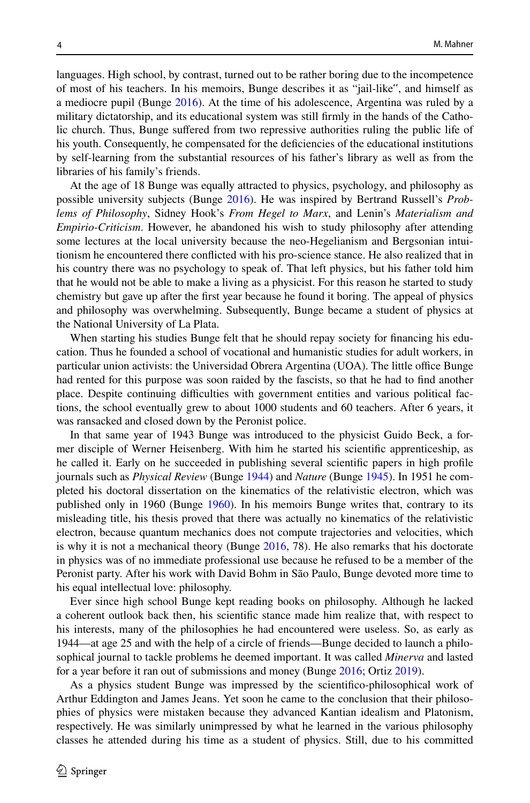languages. High school, by contrast, turned out to be rather boring due to the incompetence of most of his teachers. In his memoirs, Bunge describes it as "jail-like", and himself as a mediocre pupil (Bunge [2016](#page-18-0)). At the time of his adolescence, Argentina was ruled by a military dictatorship, and its educational system was still frmly in the hands of the Catholic church. Thus, Bunge sufered from two repressive authorities ruling the public life of his youth. Consequently, he compensated for the defciencies of the educational institutions by self-learning from the substantial resources of his father's library as well as from the libraries of his family's friends.

At the age of 18 Bunge was equally attracted to physics, psychology, and philosophy as possible university subjects (Bunge [2016](#page-18-0)). He was inspired by Bertrand Russell's *Problems of Philosophy*, Sidney Hook's *From Hegel to Marx*, and Lenin's *Materialism and Empirio-Criticism*. However, he abandoned his wish to study philosophy after attending some lectures at the local university because the neo-Hegelianism and Bergsonian intuitionism he encountered there conficted with his pro-science stance. He also realized that in his country there was no psychology to speak of. That left physics, but his father told him that he would not be able to make a living as a physicist. For this reason he started to study chemistry but gave up after the frst year because he found it boring. The appeal of physics and philosophy was overwhelming. Subsequently, Bunge became a student of physics at the National University of La Plata.

When starting his studies Bunge felt that he should repay society for fnancing his education. Thus he founded a school of vocational and humanistic studies for adult workers, in particular union activists: the Universidad Obrera Argentina (UOA). The little office Bunge had rented for this purpose was soon raided by the fascists, so that he had to fnd another place. Despite continuing difficulties with government entities and various political factions, the school eventually grew to about 1000 students and 60 teachers. After 6 years, it was ransacked and closed down by the Peronist police.

In that same year of 1943 Bunge was introduced to the physicist Guido Beck, a former disciple of Werner Heisenberg. With him he started his scientifc apprenticeship, as he called it. Early on he succeeded in publishing several scientifc papers in high profle journals such as *Physical Review* (Bunge [1944](#page-17-0)) and *Nature* (Bunge [1945](#page-17-1)). In 1951 he completed his doctoral dissertation on the kinematics of the relativistic electron, which was published only in 1960 (Bunge [1960\)](#page-17-2). In his memoirs Bunge writes that, contrary to its misleading title, his thesis proved that there was actually no kinematics of the relativistic electron, because quantum mechanics does not compute trajectories and velocities, which is why it is not a mechanical theory (Bunge  $2016$ , 78). He also remarks that his doctorate in physics was of no immediate professional use because he refused to be a member of the Peronist party. After his work with David Bohm in São Paulo, Bunge devoted more time to his equal intellectual love: philosophy.

Ever since high school Bunge kept reading books on philosophy. Although he lacked a coherent outlook back then, his scientifc stance made him realize that, with respect to his interests, many of the philosophies he had encountered were useless. So, as early as 1944—at age 25 and with the help of a circle of friends—Bunge decided to launch a philosophical journal to tackle problems he deemed important. It was called *Minerva* and lasted for a year before it ran out of submissions and money (Bunge [2016](#page-18-0); Ortiz [2019\)](#page-19-0).

As a physics student Bunge was impressed by the scientifco-philosophical work of Arthur Eddington and James Jeans. Yet soon he came to the conclusion that their philosophies of physics were mistaken because they advanced Kantian idealism and Platonism, respectively. He was similarly unimpressed by what he learned in the various philosophy classes he attended during his time as a student of physics. Still, due to his committed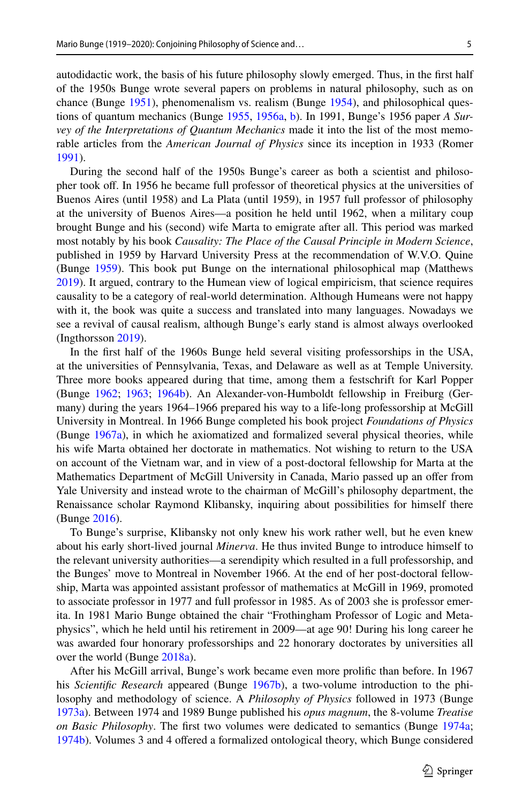autodidactic work, the basis of his future philosophy slowly emerged. Thus, in the frst half of the 1950s Bunge wrote several papers on problems in natural philosophy, such as on chance (Bunge [1951\)](#page-17-3), phenomenalism vs. realism (Bunge [1954](#page-17-4)), and philosophical questions of quantum mechanics (Bunge [1955](#page-20-0), [1956a](#page-17-5), [b](#page-17-6)). In 1991, Bunge's 1956 paper *A Survey of the Interpretations of Quantum Mechanics* made it into the list of the most memorable articles from the *American Journal of Physics* since its inception in 1933 (Romer [1991\)](#page-19-1).

During the second half of the 1950s Bunge's career as both a scientist and philosopher took of. In 1956 he became full professor of theoretical physics at the universities of Buenos Aires (until 1958) and La Plata (until 1959), in 1957 full professor of philosophy at the university of Buenos Aires—a position he held until 1962, when a military coup brought Bunge and his (second) wife Marta to emigrate after all. This period was marked most notably by his book *Causality: The Place of the Causal Principle in Modern Science*, published in 1959 by Harvard University Press at the recommendation of W.V.O. Quine (Bunge [1959\)](#page-17-7). This book put Bunge on the international philosophical map (Matthews [2019\)](#page-20-1). It argued, contrary to the Humean view of logical empiricism, that science requires causality to be a category of real-world determination. Although Humeans were not happy with it, the book was quite a success and translated into many languages. Nowadays we see a revival of causal realism, although Bunge's early stand is almost always overlooked (Ingthorsson [2019](#page-18-1)).

In the frst half of the 1960s Bunge held several visiting professorships in the USA, at the universities of Pennsylvania, Texas, and Delaware as well as at Temple University. Three more books appeared during that time, among them a festschrift for Karl Popper (Bunge [1962;](#page-17-8) [1963](#page-17-9); [1964b\)](#page-17-10). An Alexander-von-Humboldt fellowship in Freiburg (Germany) during the years 1964–1966 prepared his way to a life-long professorship at McGill University in Montreal. In 1966 Bunge completed his book project *Foundations of Physics* (Bunge [1967a](#page-17-11)), in which he axiomatized and formalized several physical theories, while his wife Marta obtained her doctorate in mathematics. Not wishing to return to the USA on account of the Vietnam war, and in view of a post-doctoral fellowship for Marta at the Mathematics Department of McGill University in Canada, Mario passed up an ofer from Yale University and instead wrote to the chairman of McGill's philosophy department, the Renaissance scholar Raymond Klibansky, inquiring about possibilities for himself there (Bunge [2016\)](#page-18-0).

To Bunge's surprise, Klibansky not only knew his work rather well, but he even knew about his early short-lived journal *Minerva*. He thus invited Bunge to introduce himself to the relevant university authorities—a serendipity which resulted in a full professorship, and the Bunges' move to Montreal in November 1966. At the end of her post-doctoral fellowship, Marta was appointed assistant professor of mathematics at McGill in 1969, promoted to associate professor in 1977 and full professor in 1985. As of 2003 she is professor emerita. In 1981 Mario Bunge obtained the chair "Frothingham Professor of Logic and Metaphysics", which he held until his retirement in 2009—at age 90! During his long career he was awarded four honorary professorships and 22 honorary doctorates by universities all over the world (Bunge [2018a](#page-18-2)).

After his McGill arrival, Bunge's work became even more prolifc than before. In 1967 his *Scientifc Research* appeared (Bunge [1967b](#page-17-11)), a two-volume introduction to the philosophy and methodology of science. A *Philosophy of Physics* followed in 1973 (Bunge [1973a\)](#page-17-12). Between 1974 and 1989 Bunge published his *opus magnum*, the 8-volume *Treatise on Basic Philosophy*. The frst two volumes were dedicated to semantics (Bunge [1974a;](#page-17-13) [1974b\)](#page-17-14). Volumes 3 and 4 ofered a formalized ontological theory, which Bunge considered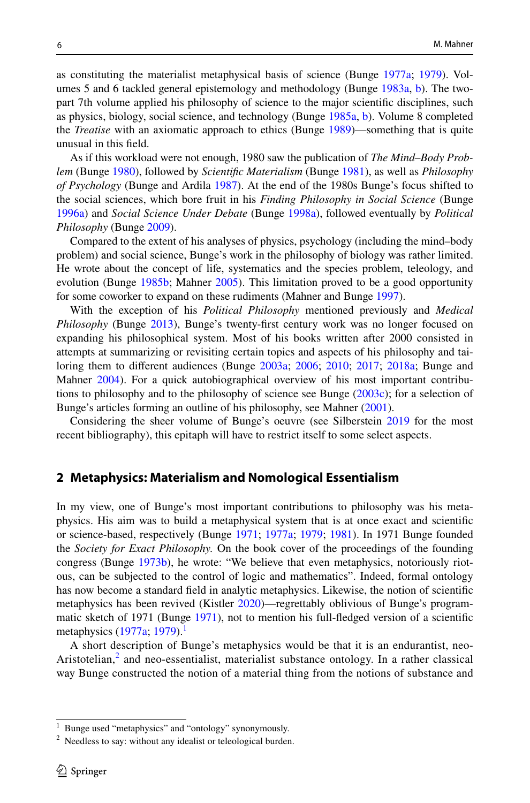as constituting the materialist metaphysical basis of science (Bunge [1977a](#page-17-15); [1979\)](#page-17-16). Volumes 5 and 6 tackled general epistemology and methodology (Bunge [1983a](#page-17-17), [b](#page-17-17)). The twopart 7th volume applied his philosophy of science to the major scientifc disciplines, such as physics, biology, social science, and technology (Bunge [1985a,](#page-17-18) [b](#page-17-18)). Volume 8 completed the *Treatise* with an axiomatic approach to ethics (Bunge [1989](#page-17-19))—something that is quite unusual in this feld.

As if this workload were not enough, 1980 saw the publication of *The Mind–Body Problem* (Bunge [1980](#page-17-20)), followed by *Scientifc Materialism* (Bunge [1981\)](#page-17-21), as well as *Philosophy of Psychology* (Bunge and Ardila [1987\)](#page-18-3). At the end of the 1980s Bunge's focus shifted to the social sciences, which bore fruit in his *Finding Philosophy in Social Science* (Bunge [1996a\)](#page-18-4) and *Social Science Under Debate* (Bunge [1998a](#page-18-5)), followed eventually by *Political Philosophy* (Bunge [2009](#page-18-6)).

Compared to the extent of his analyses of physics, psychology (including the mind–body problem) and social science, Bunge's work in the philosophy of biology was rather limited. He wrote about the concept of life, systematics and the species problem, teleology, and evolution (Bunge [1985b](#page-17-22); Mahner [2005\)](#page-19-2). This limitation proved to be a good opportunity for some coworker to expand on these rudiments (Mahner and Bunge [1997\)](#page-19-3).

With the exception of his *Political Philosophy* mentioned previously and *Medical Philosophy* (Bunge [2013\)](#page-18-7), Bunge's twenty-frst century work was no longer focused on expanding his philosophical system. Most of his books written after 2000 consisted in attempts at summarizing or revisiting certain topics and aspects of his philosophy and tailoring them to diferent audiences (Bunge [2003a;](#page-18-8) [2006](#page-18-9); [2010](#page-18-10); [2017;](#page-18-11) [2018a](#page-18-2); Bunge and Mahner [2004](#page-18-12)). For a quick autobiographical overview of his most important contributions to philosophy and to the philosophy of science see Bunge ([2003c](#page-18-13)); for a selection of Bunge's articles forming an outline of his philosophy, see Mahner ([2001\)](#page-20-2).

Considering the sheer volume of Bunge's oeuvre (see Silberstein [2019](#page-20-0) for the most recent bibliography), this epitaph will have to restrict itself to some select aspects.

#### <span id="page-3-2"></span>**2 Metaphysics: Materialism and Nomological Essentialism**

In my view, one of Bunge's most important contributions to philosophy was his metaphysics. His aim was to build a metaphysical system that is at once exact and scientifc or science-based, respectively (Bunge [1971](#page-17-23); [1977a](#page-17-15); [1979;](#page-17-16) [1981\)](#page-17-21). In 1971 Bunge founded the *Society for Exact Philosophy.* On the book cover of the proceedings of the founding congress (Bunge [1973b\)](#page-17-24), he wrote: "We believe that even metaphysics, notoriously riotous, can be subjected to the control of logic and mathematics". Indeed, formal ontology has now become a standard feld in analytic metaphysics. Likewise, the notion of scientifc metaphysics has been revived (Kistler [2020](#page-19-4))—regrettably oblivious of Bunge's programmatic sketch of 1971 (Bunge [1971](#page-17-23)), not to mention his full-fedged version of a scientifc metaphysics  $(1977a; 1979)$  $(1977a; 1979)$  $(1977a; 1979)$  $(1977a; 1979)$  $(1977a; 1979)$ .<sup>[1](#page-3-0)</sup>

A short description of Bunge's metaphysics would be that it is an endurantist, neo-Aristotelian,<sup>[2](#page-3-1)</sup> and neo-essentialist, materialist substance ontology. In a rather classical way Bunge constructed the notion of a material thing from the notions of substance and

<span id="page-3-0"></span>Bunge used "metaphysics" and "ontology" synonymously.

<span id="page-3-1"></span><sup>&</sup>lt;sup>2</sup> Needless to say: without any idealist or teleological burden.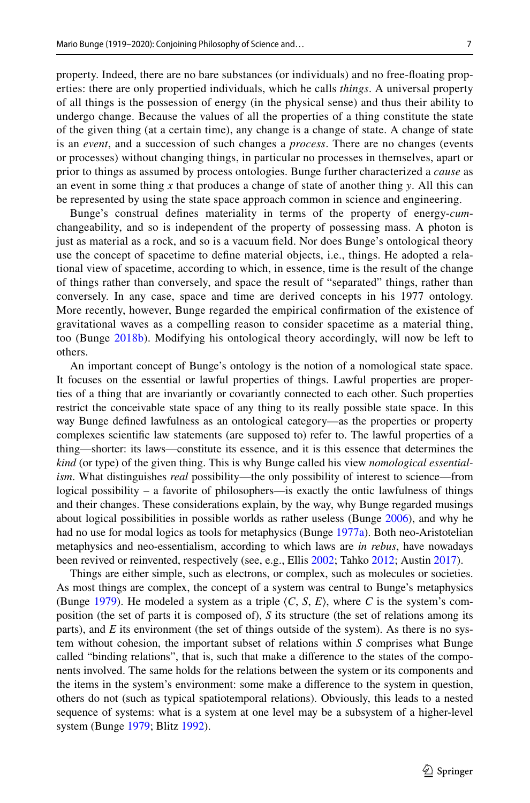property. Indeed, there are no bare substances (or individuals) and no free-foating properties: there are only propertied individuals, which he calls *things*. A universal property of all things is the possession of energy (in the physical sense) and thus their ability to undergo change. Because the values of all the properties of a thing constitute the state of the given thing (at a certain time), any change is a change of state. A change of state is an *event*, and a succession of such changes a *process*. There are no changes (events or processes) without changing things, in particular no processes in themselves, apart or prior to things as assumed by process ontologies. Bunge further characterized a *cause* as an event in some thing *x* that produces a change of state of another thing *y*. All this can be represented by using the state space approach common in science and engineering.

Bunge's construal defnes materiality in terms of the property of energy-*cum*changeability, and so is independent of the property of possessing mass. A photon is just as material as a rock, and so is a vacuum feld. Nor does Bunge's ontological theory use the concept of spacetime to defne material objects, i.e., things. He adopted a relational view of spacetime, according to which, in essence, time is the result of the change of things rather than conversely, and space the result of "separated" things, rather than conversely. In any case, space and time are derived concepts in his 1977 ontology. More recently, however, Bunge regarded the empirical confrmation of the existence of gravitational waves as a compelling reason to consider spacetime as a material thing, too (Bunge [2018b](#page-18-14)). Modifying his ontological theory accordingly, will now be left to others.

An important concept of Bunge's ontology is the notion of a nomological state space. It focuses on the essential or lawful properties of things. Lawful properties are properties of a thing that are invariantly or covariantly connected to each other. Such properties restrict the conceivable state space of any thing to its really possible state space. In this way Bunge defned lawfulness as an ontological category—as the properties or property complexes scientifc law statements (are supposed to) refer to. The lawful properties of a thing—shorter: its laws—constitute its essence, and it is this essence that determines the *kind* (or type) of the given thing. This is why Bunge called his view *nomological essentialism*. What distinguishes *real* possibility—the only possibility of interest to science—from logical possibility – a favorite of philosophers—is exactly the ontic lawfulness of things and their changes. These considerations explain, by the way, why Bunge regarded musings about logical possibilities in possible worlds as rather useless (Bunge [2006\)](#page-18-9), and why he had no use for modal logics as tools for metaphysics (Bunge [1977a](#page-17-15)). Both neo-Aristotelian metaphysics and neo-essentialism, according to which laws are *in rebus*, have nowadays been revived or reinvented, respectively (see, e.g., Ellis [2002](#page-18-15); Tahko [2012](#page-20-3); Austin [2017\)](#page-16-0).

Things are either simple, such as electrons, or complex, such as molecules or societies. As most things are complex, the concept of a system was central to Bunge's metaphysics (Bunge [1979\)](#page-17-16). He modeled a system as a triple  $\langle C, S, E \rangle$ , where *C* is the system's composition (the set of parts it is composed of), *S* its structure (the set of relations among its parts), and *E* its environment (the set of things outside of the system). As there is no system without cohesion, the important subset of relations within *S* comprises what Bunge called "binding relations", that is, such that make a diference to the states of the components involved. The same holds for the relations between the system or its components and the items in the system's environment: some make a diference to the system in question, others do not (such as typical spatiotemporal relations). Obviously, this leads to a nested sequence of systems: what is a system at one level may be a subsystem of a higher-level system (Bunge [1979;](#page-17-16) Blitz [1992](#page-16-1)).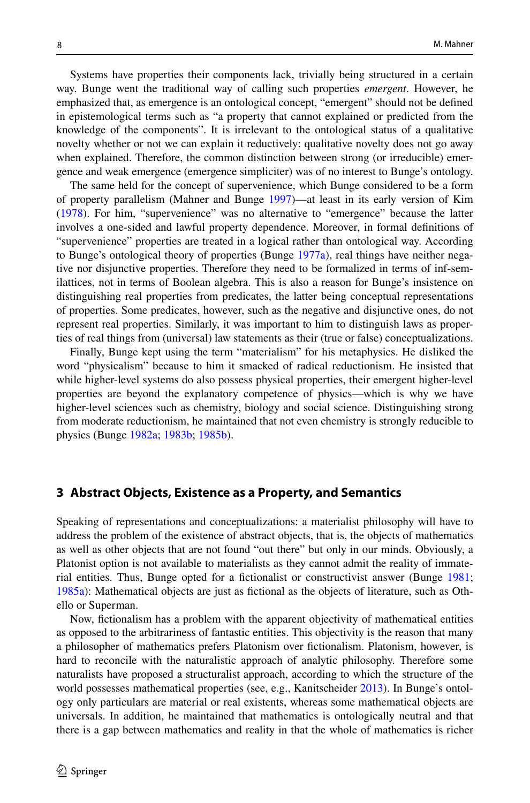Systems have properties their components lack, trivially being structured in a certain way. Bunge went the traditional way of calling such properties *emergent*. However, he emphasized that, as emergence is an ontological concept, "emergent" should not be defned in epistemological terms such as "a property that cannot explained or predicted from the knowledge of the components". It is irrelevant to the ontological status of a qualitative novelty whether or not we can explain it reductively: qualitative novelty does not go away when explained. Therefore, the common distinction between strong (or irreducible) emergence and weak emergence (emergence simpliciter) was of no interest to Bunge's ontology.

The same held for the concept of supervenience, which Bunge considered to be a form of property parallelism (Mahner and Bunge [1997\)](#page-19-3)—at least in its early version of Kim ([1978\)](#page-18-16). For him, "supervenience" was no alternative to "emergence" because the latter involves a one-sided and lawful property dependence. Moreover, in formal defnitions of "supervenience" properties are treated in a logical rather than ontological way. According to Bunge's ontological theory of properties (Bunge [1977a\)](#page-17-15), real things have neither negative nor disjunctive properties. Therefore they need to be formalized in terms of inf-semilattices, not in terms of Boolean algebra. This is also a reason for Bunge's insistence on distinguishing real properties from predicates, the latter being conceptual representations of properties. Some predicates, however, such as the negative and disjunctive ones, do not represent real properties. Similarly, it was important to him to distinguish laws as properties of real things from (universal) law statements as their (true or false) conceptualizations.

Finally, Bunge kept using the term "materialism" for his metaphysics. He disliked the word "physicalism" because to him it smacked of radical reductionism. He insisted that while higher-level systems do also possess physical properties, their emergent higher-level properties are beyond the explanatory competence of physics—which is why we have higher-level sciences such as chemistry, biology and social science. Distinguishing strong from moderate reductionism, he maintained that not even chemistry is strongly reducible to physics (Bunge [1982a;](#page-17-25) [1983b;](#page-17-26) [1985b](#page-17-22)).

#### **3 Abstract Objects, Existence as a Property, and Semantics**

Speaking of representations and conceptualizations: a materialist philosophy will have to address the problem of the existence of abstract objects, that is, the objects of mathematics as well as other objects that are not found "out there" but only in our minds. Obviously, a Platonist option is not available to materialists as they cannot admit the reality of immate-rial entities. Thus, Bunge opted for a fictionalist or constructivist answer (Bunge [1981;](#page-17-21) [1985a\)](#page-17-18): Mathematical objects are just as fctional as the objects of literature, such as Othello or Superman.

Now, fctionalism has a problem with the apparent objectivity of mathematical entities as opposed to the arbitrariness of fantastic entities. This objectivity is the reason that many a philosopher of mathematics prefers Platonism over fctionalism. Platonism, however, is hard to reconcile with the naturalistic approach of analytic philosophy. Therefore some naturalists have proposed a structuralist approach, according to which the structure of the world possesses mathematical properties (see, e.g., Kanitscheider [2013\)](#page-18-17). In Bunge's ontology only particulars are material or real existents, whereas some mathematical objects are universals. In addition, he maintained that mathematics is ontologically neutral and that there is a gap between mathematics and reality in that the whole of mathematics is richer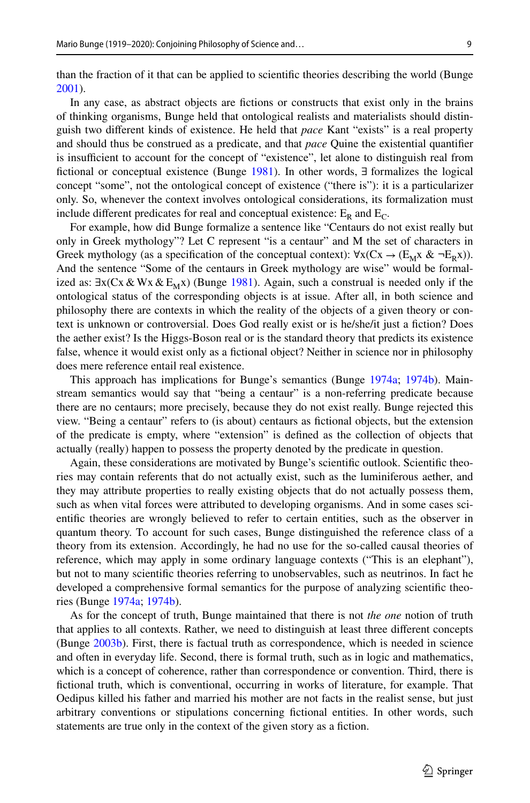than the fraction of it that can be applied to scientifc theories describing the world (Bunge [2001\)](#page-18-18).

In any case, as abstract objects are fctions or constructs that exist only in the brains of thinking organisms, Bunge held that ontological realists and materialists should distinguish two diferent kinds of existence. He held that *pace* Kant "exists" is a real property and should thus be construed as a predicate, and that *pace* Quine the existential quantifer is insufficient to account for the concept of "existence", let alone to distinguish real from fictional or conceptual existence (Bunge [1981](#page-17-21)). In other words,  $\exists$  formalizes the logical concept "some", not the ontological concept of existence ("there is"): it is a particularizer only. So, whenever the context involves ontological considerations, its formalization must include different predicates for real and conceptual existence:  $E_R$  and  $E_C$ .

For example, how did Bunge formalize a sentence like "Centaurs do not exist really but only in Greek mythology"? Let C represent "is a centaur" and M the set of characters in Greek mythology (as a specification of the conceptual context):  $\forall x (Cx \rightarrow (E_M x \& \neg E_R x))$ . And the sentence "Some of the centaurs in Greek mythology are wise" would be formalized as:  $\exists x(Cx \& Wx \& E_Mx)$  (Bunge [1981](#page-17-21)). Again, such a construal is needed only if the ontological status of the corresponding objects is at issue. After all, in both science and philosophy there are contexts in which the reality of the objects of a given theory or context is unknown or controversial. Does God really exist or is he/she/it just a fiction? Does the aether exist? Is the Higgs-Boson real or is the standard theory that predicts its existence false, whence it would exist only as a fctional object? Neither in science nor in philosophy does mere reference entail real existence.

This approach has implications for Bunge's semantics (Bunge [1974a;](#page-17-13) [1974b](#page-17-14)). Mainstream semantics would say that "being a centaur" is a non-referring predicate because there are no centaurs; more precisely, because they do not exist really. Bunge rejected this view. "Being a centaur" refers to (is about) centaurs as fctional objects, but the extension of the predicate is empty, where "extension" is defned as the collection of objects that actually (really) happen to possess the property denoted by the predicate in question.

Again, these considerations are motivated by Bunge's scientifc outlook. Scientifc theories may contain referents that do not actually exist, such as the luminiferous aether, and they may attribute properties to really existing objects that do not actually possess them, such as when vital forces were attributed to developing organisms. And in some cases scientifc theories are wrongly believed to refer to certain entities, such as the observer in quantum theory. To account for such cases, Bunge distinguished the reference class of a theory from its extension. Accordingly, he had no use for the so-called causal theories of reference, which may apply in some ordinary language contexts ("This is an elephant"), but not to many scientifc theories referring to unobservables, such as neutrinos. In fact he developed a comprehensive formal semantics for the purpose of analyzing scientifc theories (Bunge [1974a](#page-17-13); [1974b](#page-17-14)).

As for the concept of truth, Bunge maintained that there is not *the one* notion of truth that applies to all contexts. Rather, we need to distinguish at least three diferent concepts (Bunge [2003b](#page-18-19)). First, there is factual truth as correspondence, which is needed in science and often in everyday life. Second, there is formal truth, such as in logic and mathematics, which is a concept of coherence, rather than correspondence or convention. Third, there is fctional truth, which is conventional, occurring in works of literature, for example. That Oedipus killed his father and married his mother are not facts in the realist sense, but just arbitrary conventions or stipulations concerning fctional entities. In other words, such statements are true only in the context of the given story as a fiction.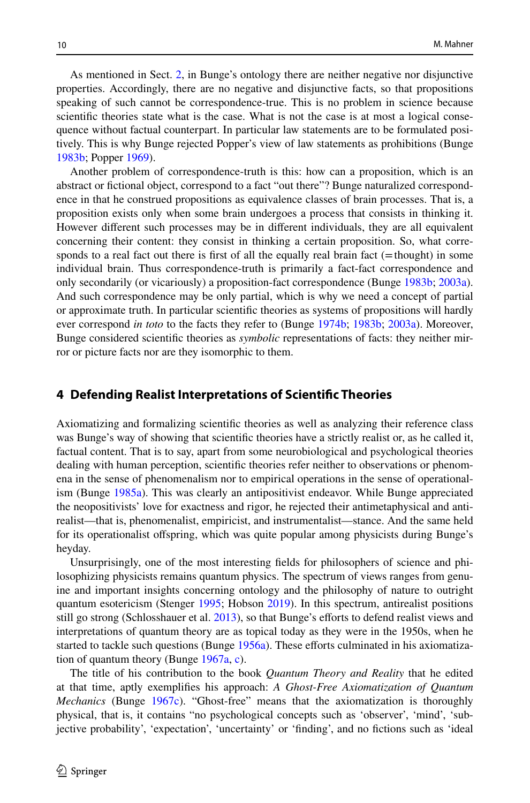As mentioned in Sect. [2,](#page-3-2) in Bunge's ontology there are neither negative nor disjunctive properties. Accordingly, there are no negative and disjunctive facts, so that propositions speaking of such cannot be correspondence-true. This is no problem in science because scientifc theories state what is the case. What is not the case is at most a logical consequence without factual counterpart. In particular law statements are to be formulated positively. This is why Bunge rejected Popper's view of law statements as prohibitions (Bunge [1983b;](#page-17-26) Popper [1969\)](#page-19-5).

Another problem of correspondence-truth is this: how can a proposition, which is an abstract or fctional object, correspond to a fact "out there"? Bunge naturalized correspondence in that he construed propositions as equivalence classes of brain processes. That is, a proposition exists only when some brain undergoes a process that consists in thinking it. However diferent such processes may be in diferent individuals, they are all equivalent concerning their content: they consist in thinking a certain proposition. So, what corresponds to a real fact out there is first of all the equally real brain fact (=thought) in some individual brain. Thus correspondence-truth is primarily a fact-fact correspondence and only secondarily (or vicariously) a proposition-fact correspondence (Bunge [1983b;](#page-17-26) [2003a](#page-18-8)). And such correspondence may be only partial, which is why we need a concept of partial or approximate truth. In particular scientifc theories as systems of propositions will hardly ever correspond *in toto* to the facts they refer to (Bunge [1974b](#page-17-14); [1983b](#page-17-26); [2003a](#page-18-8)). Moreover, Bunge considered scientifc theories as *symbolic* representations of facts: they neither mirror or picture facts nor are they isomorphic to them.

#### <span id="page-7-0"></span>**4 Defending Realist Interpretations of Scientifc Theories**

Axiomatizing and formalizing scientifc theories as well as analyzing their reference class was Bunge's way of showing that scientifc theories have a strictly realist or, as he called it, factual content. That is to say, apart from some neurobiological and psychological theories dealing with human perception, scientifc theories refer neither to observations or phenomena in the sense of phenomenalism nor to empirical operations in the sense of operationalism (Bunge [1985a](#page-17-18)). This was clearly an antipositivist endeavor. While Bunge appreciated the neopositivists' love for exactness and rigor, he rejected their antimetaphysical and antirealist—that is, phenomenalist, empiricist, and instrumentalist—stance. And the same held for its operationalist ofspring, which was quite popular among physicists during Bunge's heyday.

Unsurprisingly, one of the most interesting felds for philosophers of science and philosophizing physicists remains quantum physics. The spectrum of views ranges from genuine and important insights concerning ontology and the philosophy of nature to outright quantum esotericism (Stenger [1995](#page-20-4); Hobson [2019\)](#page-18-20). In this spectrum, antirealist positions still go strong (Schlosshauer et al.  $2013$ ), so that Bunge's efforts to defend realist views and interpretations of quantum theory are as topical today as they were in the 1950s, when he started to tackle such questions (Bunge [1956a](#page-17-5)). These efforts culminated in his axiomatization of quantum theory (Bunge [1967a](#page-17-27), [c](#page-17-28)).

The title of his contribution to the book *Quantum Theory and Reality* that he edited at that time, aptly exemplifes his approach: *A Ghost-Free Axiomatization of Quantum Mechanics* (Bunge [1967c\)](#page-17-28). "Ghost-free" means that the axiomatization is thoroughly physical, that is, it contains "no psychological concepts such as 'observer', 'mind', 'subjective probability', 'expectation', 'uncertainty' or 'fnding', and no fctions such as 'ideal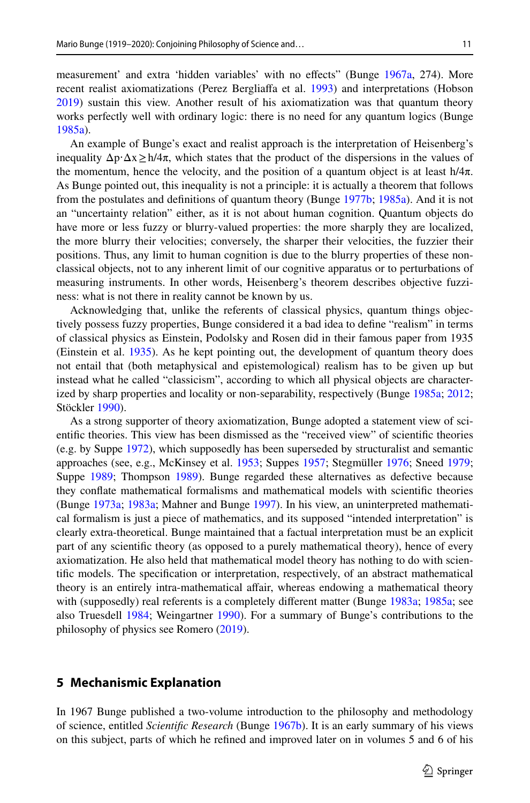measurement' and extra 'hidden variables' with no efects" (Bunge [1967a,](#page-17-27) 274). More recent realist axiomatizations (Perez Bergliafa et al. [1993\)](#page-19-7) and interpretations (Hobson [2019\)](#page-18-20) sustain this view. Another result of his axiomatization was that quantum theory works perfectly well with ordinary logic: there is no need for any quantum logics (Bunge [1985a\)](#page-17-18).

An example of Bunge's exact and realist approach is the interpretation of Heisenberg's inequality  $\Delta p \cdot \Delta x \ge h/4\pi$ , which states that the product of the dispersions in the values of the momentum, hence the velocity, and the position of a quantum object is at least  $h/4\pi$ . As Bunge pointed out, this inequality is not a principle: it is actually a theorem that follows from the postulates and defnitions of quantum theory (Bunge [1977b;](#page-17-29) [1985a\)](#page-17-18). And it is not an "uncertainty relation" either, as it is not about human cognition. Quantum objects do have more or less fuzzy or blurry-valued properties: the more sharply they are localized, the more blurry their velocities; conversely, the sharper their velocities, the fuzzier their positions. Thus, any limit to human cognition is due to the blurry properties of these nonclassical objects, not to any inherent limit of our cognitive apparatus or to perturbations of measuring instruments. In other words, Heisenberg's theorem describes objective fuzziness: what is not there in reality cannot be known by us.

Acknowledging that, unlike the referents of classical physics, quantum things objectively possess fuzzy properties, Bunge considered it a bad idea to defne "realism" in terms of classical physics as Einstein, Podolsky and Rosen did in their famous paper from 1935 (Einstein et al. [1935\)](#page-18-21). As he kept pointing out, the development of quantum theory does not entail that (both metaphysical and epistemological) realism has to be given up but instead what he called "classicism", according to which all physical objects are characterized by sharp properties and locality or non-separability, respectively (Bunge [1985a;](#page-17-18) [2012;](#page-18-22) Stöckler [1990](#page-20-5)).

As a strong supporter of theory axiomatization, Bunge adopted a statement view of scientifc theories. This view has been dismissed as the "received view" of scientifc theories (e.g. by Suppe [1972\)](#page-20-6), which supposedly has been superseded by structuralist and semantic approaches (see, e.g., McKinsey et al. [1953](#page-19-8); Suppes [1957](#page-20-7); Stegmüller [1976](#page-19-9); Sneed [1979;](#page-19-10) Suppe [1989;](#page-20-8) Thompson [1989](#page-20-9)). Bunge regarded these alternatives as defective because they confate mathematical formalisms and mathematical models with scientifc theories (Bunge [1973a](#page-17-12); [1983a;](#page-17-17) Mahner and Bunge [1997](#page-19-3)). In his view, an uninterpreted mathematical formalism is just a piece of mathematics, and its supposed "intended interpretation" is clearly extra-theoretical. Bunge maintained that a factual interpretation must be an explicit part of any scientifc theory (as opposed to a purely mathematical theory), hence of every axiomatization. He also held that mathematical model theory has nothing to do with scientifc models. The specifcation or interpretation, respectively, of an abstract mathematical theory is an entirely intra-mathematical afair, whereas endowing a mathematical theory with (supposedly) real referents is a completely different matter (Bunge [1983a;](#page-17-17) [1985a](#page-17-18); see also Truesdell [1984;](#page-20-10) Weingartner [1990](#page-20-11)). For a summary of Bunge's contributions to the philosophy of physics see Romero [\(2019](#page-19-11)).

#### <span id="page-8-0"></span>**5 Mechanismic Explanation**

In 1967 Bunge published a two-volume introduction to the philosophy and methodology of science, entitled *Scientifc Research* (Bunge [1967b](#page-17-11)). It is an early summary of his views on this subject, parts of which he refned and improved later on in volumes 5 and 6 of his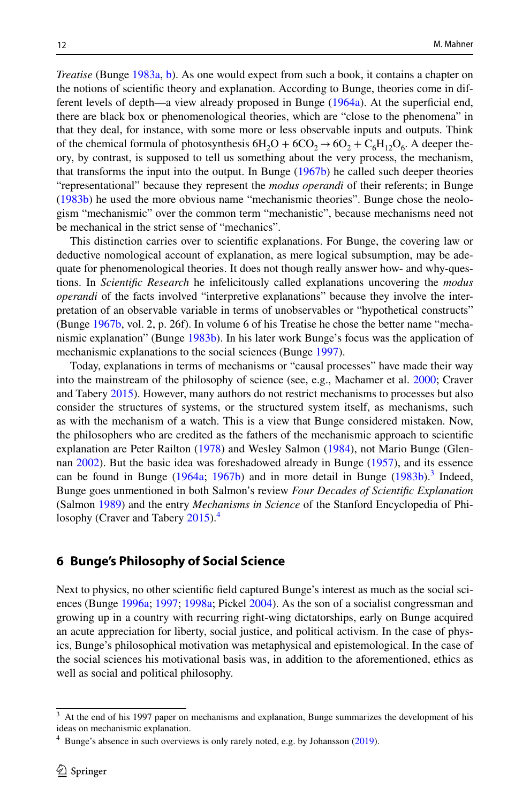*Treatise* (Bunge [1983a,](#page-17-17) [b](#page-17-26)). As one would expect from such a book, it contains a chapter on the notions of scientifc theory and explanation. According to Bunge, theories come in dif-ferent levels of depth—a view already proposed in Bunge [\(1964a\)](#page-17-30). At the superficial end, there are black box or phenomenological theories, which are "close to the phenomena" in that they deal, for instance, with some more or less observable inputs and outputs. Think of the chemical formula of photosynthesis  $6H_2O + 6CO_2 \rightarrow 6O_2 + C_6H_{12}O_6$ . A deeper theory, by contrast, is supposed to tell us something about the very process, the mechanism, that transforms the input into the output. In Bunge [\(1967b\)](#page-17-11) he called such deeper theories "representational" because they represent the *modus operandi* of their referents; in Bunge ([1983b\)](#page-17-26) he used the more obvious name "mechanismic theories". Bunge chose the neologism "mechanismic" over the common term "mechanistic", because mechanisms need not be mechanical in the strict sense of "mechanics".

This distinction carries over to scientifc explanations. For Bunge, the covering law or deductive nomological account of explanation, as mere logical subsumption, may be adequate for phenomenological theories. It does not though really answer how- and why-questions. In *Scientifc Research* he infelicitously called explanations uncovering the *modus operandi* of the facts involved "interpretive explanations" because they involve the interpretation of an observable variable in terms of unobservables or "hypothetical constructs" (Bunge [1967b,](#page-17-11) vol. 2, p. 26f). In volume 6 of his Treatise he chose the better name "mechanismic explanation" (Bunge [1983b\)](#page-17-26). In his later work Bunge's focus was the application of mechanismic explanations to the social sciences (Bunge [1997\)](#page-18-23).

Today, explanations in terms of mechanisms or "causal processes" have made their way into the mainstream of the philosophy of science (see, e.g., Machamer et al. [2000;](#page-19-12) Craver and Tabery [2015\)](#page-18-24). However, many authors do not restrict mechanisms to processes but also consider the structures of systems, or the structured system itself, as mechanisms, such as with the mechanism of a watch. This is a view that Bunge considered mistaken. Now, the philosophers who are credited as the fathers of the mechanismic approach to scientifc explanation are Peter Railton [\(1978](#page-19-13)) and Wesley Salmon ([1984\)](#page-19-14), not Mario Bunge (Glennan [2002](#page-18-25)). But the basic idea was foreshadowed already in Bunge ([1957\)](#page-17-31), and its essence can be found in Bunge  $(1964a; 1967b)$  $(1964a; 1967b)$  $(1964a; 1967b)$  $(1964a; 1967b)$  and in more detail in Bunge  $(1983b).$  $(1983b).$  $(1983b).$ <sup>[3](#page-9-0)</sup> Indeed, Bunge goes unmentioned in both Salmon's review *Four Decades of Scientifc Explanation* (Salmon [1989\)](#page-19-15) and the entry *Mechanisms in Science* of the Stanford Encyclopedia of Phi-losophy (Craver and Tabery [2015](#page-18-24)).<sup>[4](#page-9-1)</sup>

#### <span id="page-9-2"></span>**6 Bunge's Philosophy of Social Science**

Next to physics, no other scientifc feld captured Bunge's interest as much as the social sciences (Bunge [1996a;](#page-18-4) [1997;](#page-18-23) [1998a](#page-18-5); Pickel [2004\)](#page-19-16). As the son of a socialist congressman and growing up in a country with recurring right-wing dictatorships, early on Bunge acquired an acute appreciation for liberty, social justice, and political activism. In the case of physics, Bunge's philosophical motivation was metaphysical and epistemological. In the case of the social sciences his motivational basis was, in addition to the aforementioned, ethics as well as social and political philosophy.

<span id="page-9-0"></span><sup>3</sup> At the end of his 1997 paper on mechanisms and explanation, Bunge summarizes the development of his ideas on mechanismic explanation.

<span id="page-9-1"></span> $4$  Bunge's absence in such overviews is only rarely noted, e.g. by Johansson [\(2019](#page-18-26)).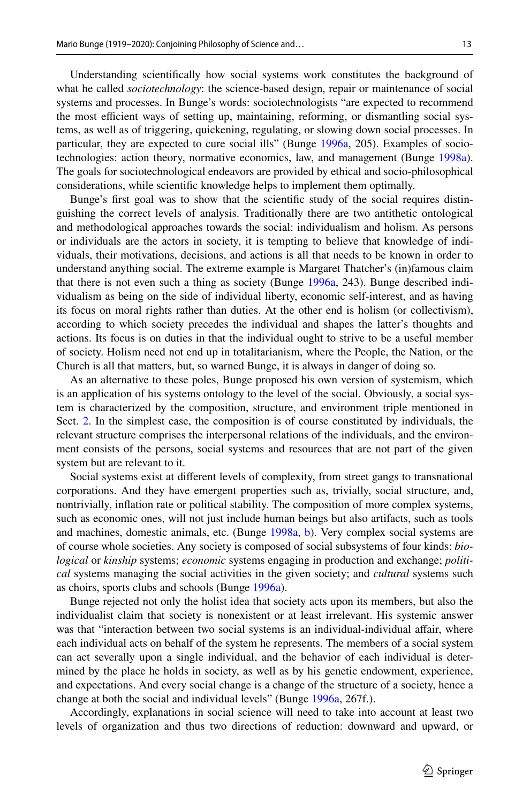Understanding scientifcally how social systems work constitutes the background of what he called *sociotechnology*: the science-based design, repair or maintenance of social systems and processes. In Bunge's words: sociotechnologists "are expected to recommend the most efficient ways of setting up, maintaining, reforming, or dismantling social systems, as well as of triggering, quickening, regulating, or slowing down social processes. In particular, they are expected to cure social ills" (Bunge [1996a,](#page-18-4) 205). Examples of sociotechnologies: action theory, normative economics, law, and management (Bunge [1998a](#page-18-5)). The goals for sociotechnological endeavors are provided by ethical and socio-philosophical considerations, while scientifc knowledge helps to implement them optimally.

Bunge's frst goal was to show that the scientifc study of the social requires distinguishing the correct levels of analysis. Traditionally there are two antithetic ontological and methodological approaches towards the social: individualism and holism. As persons or individuals are the actors in society, it is tempting to believe that knowledge of individuals, their motivations, decisions, and actions is all that needs to be known in order to understand anything social. The extreme example is Margaret Thatcher's (in)famous claim that there is not even such a thing as society (Bunge [1996a](#page-18-4), 243). Bunge described individualism as being on the side of individual liberty, economic self-interest, and as having its focus on moral rights rather than duties. At the other end is holism (or collectivism), according to which society precedes the individual and shapes the latter's thoughts and actions. Its focus is on duties in that the individual ought to strive to be a useful member of society. Holism need not end up in totalitarianism, where the People, the Nation, or the Church is all that matters, but, so warned Bunge, it is always in danger of doing so.

As an alternative to these poles, Bunge proposed his own version of systemism, which is an application of his systems ontology to the level of the social. Obviously, a social system is characterized by the composition, structure, and environment triple mentioned in Sect. [2](#page-3-2). In the simplest case, the composition is of course constituted by individuals, the relevant structure comprises the interpersonal relations of the individuals, and the environment consists of the persons, social systems and resources that are not part of the given system but are relevant to it.

Social systems exist at diferent levels of complexity, from street gangs to transnational corporations. And they have emergent properties such as, trivially, social structure, and, nontrivially, infation rate or political stability. The composition of more complex systems, such as economic ones, will not just include human beings but also artifacts, such as tools and machines, domestic animals, etc. (Bunge [1998a](#page-18-5), [b](#page-18-27)). Very complex social systems are of course whole societies. Any society is composed of social subsystems of four kinds: *biological* or *kinship* systems; *economic* systems engaging in production and exchange; *political* systems managing the social activities in the given society; and *cultural* systems such as choirs, sports clubs and schools (Bunge [1996a\)](#page-18-4).

Bunge rejected not only the holist idea that society acts upon its members, but also the individualist claim that society is nonexistent or at least irrelevant. His systemic answer was that "interaction between two social systems is an individual-individual afair, where each individual acts on behalf of the system he represents. The members of a social system can act severally upon a single individual, and the behavior of each individual is determined by the place he holds in society, as well as by his genetic endowment, experience, and expectations. And every social change is a change of the structure of a society, hence a change at both the social and individual levels" (Bunge [1996a,](#page-18-4) 267f.).

Accordingly, explanations in social science will need to take into account at least two levels of organization and thus two directions of reduction: downward and upward, or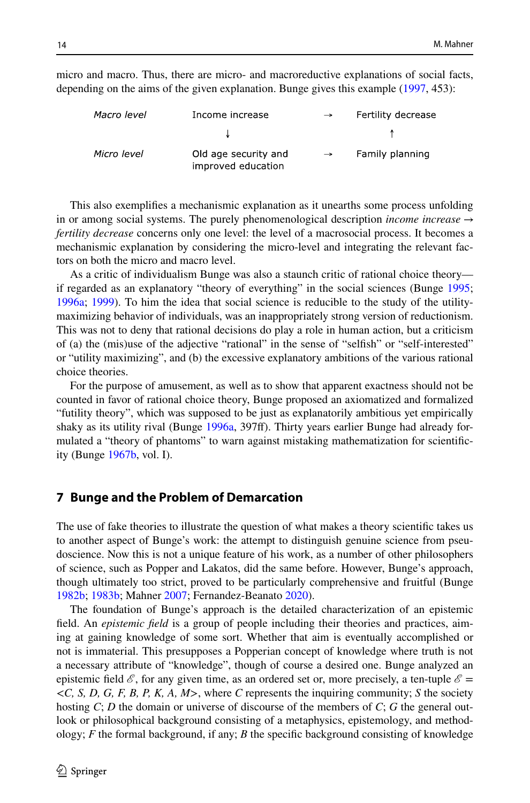Macro level Income increase Fertility decrease Micro level Old age security and Family planning improved education

micro and macro. Thus, there are micro- and macroreductive explanations of social facts, depending on the aims of the given explanation. Bunge gives this example [\(1997](#page-18-23), 453):

This also exemplifes a mechanismic explanation as it unearths some process unfolding in or among social systems. The purely phenomenological description *income increase*  $\rightarrow$ *fertility decrease* concerns only one level: the level of a macrosocial process. It becomes a mechanismic explanation by considering the micro-level and integrating the relevant factors on both the micro and macro level.

As a critic of individualism Bunge was also a staunch critic of rational choice theory— if regarded as an explanatory "theory of everything" in the social sciences (Bunge [1995;](#page-18-28) [1996a;](#page-18-4) [1999\)](#page-18-29). To him the idea that social science is reducible to the study of the utilitymaximizing behavior of individuals, was an inappropriately strong version of reductionism. This was not to deny that rational decisions do play a role in human action, but a criticism of (a) the (mis)use of the adjective "rational" in the sense of "selfsh" or "self-interested" or "utility maximizing", and (b) the excessive explanatory ambitions of the various rational choice theories.

For the purpose of amusement, as well as to show that apparent exactness should not be counted in favor of rational choice theory, Bunge proposed an axiomatized and formalized "futility theory", which was supposed to be just as explanatorily ambitious yet empirically shaky as its utility rival (Bunge [1996a](#page-18-4), 397f). Thirty years earlier Bunge had already formulated a "theory of phantoms" to warn against mistaking mathematization for scientifcity (Bunge [1967b](#page-17-11), vol. I).

#### <span id="page-11-0"></span>**7 Bunge and the Problem of Demarcation**

The use of fake theories to illustrate the question of what makes a theory scientifc takes us to another aspect of Bunge's work: the attempt to distinguish genuine science from pseudoscience. Now this is not a unique feature of his work, as a number of other philosophers of science, such as Popper and Lakatos, did the same before. However, Bunge's approach, though ultimately too strict, proved to be particularly comprehensive and fruitful (Bunge [1982b;](#page-17-32) [1983b](#page-17-26); Mahner [2007](#page-19-17); Fernandez-Beanato [2020\)](#page-18-30).

The foundation of Bunge's approach is the detailed characterization of an epistemic feld. An *epistemic feld* is a group of people including their theories and practices, aiming at gaining knowledge of some sort. Whether that aim is eventually accomplished or not is immaterial. This presupposes a Popperian concept of knowledge where truth is not a necessary attribute of "knowledge", though of course a desired one. Bunge analyzed an epistemic field  $\mathcal{E}$ , for any given time, as an ordered set or, more precisely, a ten-tuple  $\mathcal{E} =$ <*C, S, D, G, F, B, P, K, A, M*>, where *C* represents the inquiring community; *S* the society hosting *C*; *D* the domain or universe of discourse of the members of *C*; *G* the general outlook or philosophical background consisting of a metaphysics, epistemology, and methodology;  $F$  the formal background, if any;  $B$  the specific background consisting of knowledge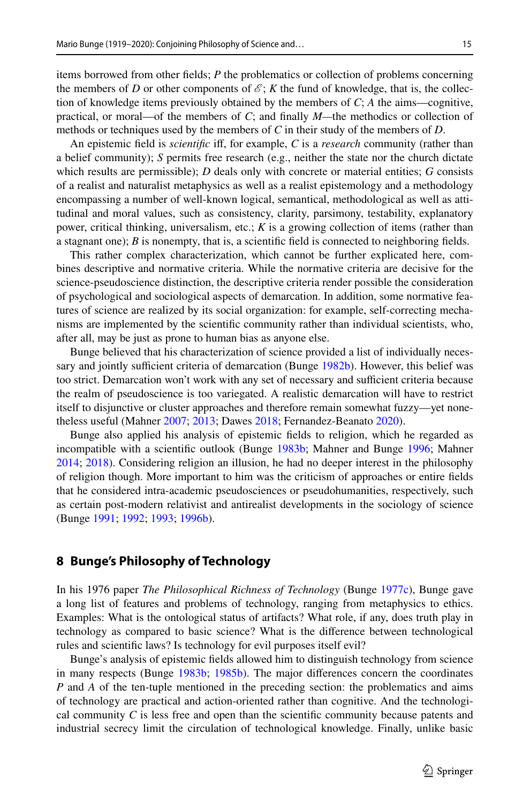items borrowed from other felds; *P* the problematics or collection of problems concerning the members of *D* or other components of  $\mathcal{E}$ ; *K* the fund of knowledge, that is, the collection of knowledge items previously obtained by the members of *C*; *A* the aims—cognitive, practical, or moral—of the members of *C*; and fnally *M—*the methodics or collection of methods or techniques used by the members of *C* in their study of the members of *D*.

An epistemic feld is *scientifc* if, for example, *C* is a *research* community (rather than a belief community); *S* permits free research (e.g., neither the state nor the church dictate which results are permissible); *D* deals only with concrete or material entities; *G* consists of a realist and naturalist metaphysics as well as a realist epistemology and a methodology encompassing a number of well-known logical, semantical, methodological as well as attitudinal and moral values, such as consistency, clarity, parsimony, testability, explanatory power, critical thinking, universalism, etc.; *K* is a growing collection of items (rather than a stagnant one); *B* is nonempty, that is, a scientifc feld is connected to neighboring felds.

This rather complex characterization, which cannot be further explicated here, combines descriptive and normative criteria. While the normative criteria are decisive for the science-pseudoscience distinction, the descriptive criteria render possible the consideration of psychological and sociological aspects of demarcation. In addition, some normative features of science are realized by its social organization: for example, self-correcting mechanisms are implemented by the scientifc community rather than individual scientists, who, after all, may be just as prone to human bias as anyone else.

Bunge believed that his characterization of science provided a list of individually neces-sary and jointly sufficient criteria of demarcation (Bunge [1982b\)](#page-17-32). However, this belief was too strict. Demarcation won't work with any set of necessary and sufficient criteria because the realm of pseudoscience is too variegated. A realistic demarcation will have to restrict itself to disjunctive or cluster approaches and therefore remain somewhat fuzzy—yet nonetheless useful (Mahner [2007;](#page-19-17) [2013;](#page-19-18) Dawes [2018;](#page-18-31) Fernandez-Beanato [2020\)](#page-18-30).

Bunge also applied his analysis of epistemic felds to religion, which he regarded as incompatible with a scientifc outlook (Bunge [1983b](#page-17-26); Mahner and Bunge [1996;](#page-19-19) Mahner [2014;](#page-19-20) [2018](#page-19-21)). Considering religion an illusion, he had no deeper interest in the philosophy of religion though. More important to him was the criticism of approaches or entire felds that he considered intra-academic pseudosciences or pseudohumanities, respectively, such as certain post-modern relativist and antirealist developments in the sociology of science (Bunge [1991;](#page-18-32) [1992;](#page-18-33) [1993](#page-18-34); [1996b\)](#page-18-35).

### **8 Bunge's Philosophy of Technology**

In his 1976 paper *The Philosophical Richness of Technology* (Bunge [1977c\)](#page-17-33), Bunge gave a long list of features and problems of technology, ranging from metaphysics to ethics. Examples: What is the ontological status of artifacts? What role, if any, does truth play in technology as compared to basic science? What is the diference between technological rules and scientifc laws? Is technology for evil purposes itself evil?

Bunge's analysis of epistemic felds allowed him to distinguish technology from science in many respects (Bunge [1983b](#page-17-26); [1985b](#page-17-22)). The major diferences concern the coordinates *P* and *A* of the ten-tuple mentioned in the preceding section: the problematics and aims of technology are practical and action-oriented rather than cognitive. And the technological community  $C$  is less free and open than the scientific community because patents and industrial secrecy limit the circulation of technological knowledge. Finally, unlike basic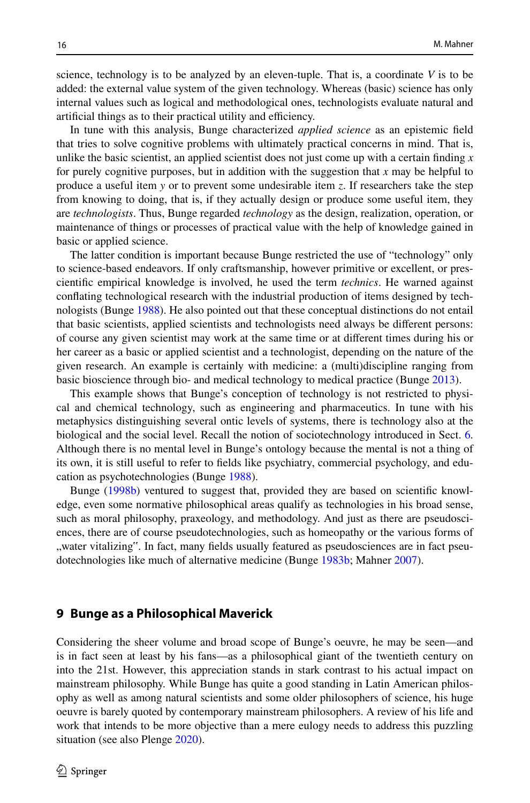science, technology is to be analyzed by an eleven-tuple. That is, a coordinate *V* is to be added: the external value system of the given technology. Whereas (basic) science has only internal values such as logical and methodological ones, technologists evaluate natural and artificial things as to their practical utility and efficiency.

In tune with this analysis, Bunge characterized *applied science* as an epistemic feld that tries to solve cognitive problems with ultimately practical concerns in mind. That is, unlike the basic scientist, an applied scientist does not just come up with a certain fnding *x* for purely cognitive purposes, but in addition with the suggestion that *x* may be helpful to produce a useful item *y* or to prevent some undesirable item *z*. If researchers take the step from knowing to doing, that is, if they actually design or produce some useful item, they are *technologists*. Thus, Bunge regarded *technology* as the design, realization, operation, or maintenance of things or processes of practical value with the help of knowledge gained in basic or applied science.

The latter condition is important because Bunge restricted the use of "technology" only to science-based endeavors. If only craftsmanship, however primitive or excellent, or prescientifc empirical knowledge is involved, he used the term *technics*. He warned against confating technological research with the industrial production of items designed by technologists (Bunge [1988\)](#page-17-34). He also pointed out that these conceptual distinctions do not entail that basic scientists, applied scientists and technologists need always be diferent persons: of course any given scientist may work at the same time or at diferent times during his or her career as a basic or applied scientist and a technologist, depending on the nature of the given research. An example is certainly with medicine: a (multi)discipline ranging from basic bioscience through bio- and medical technology to medical practice (Bunge [2013\)](#page-18-7).

This example shows that Bunge's conception of technology is not restricted to physical and chemical technology, such as engineering and pharmaceutics. In tune with his metaphysics distinguishing several ontic levels of systems, there is technology also at the biological and the social level. Recall the notion of sociotechnology introduced in Sect. [6](#page-9-2). Although there is no mental level in Bunge's ontology because the mental is not a thing of its own, it is still useful to refer to felds like psychiatry, commercial psychology, and education as psychotechnologies (Bunge [1988\)](#page-17-34).

Bunge [\(1998b](#page-18-27)) ventured to suggest that, provided they are based on scientifc knowledge, even some normative philosophical areas qualify as technologies in his broad sense, such as moral philosophy, praxeology, and methodology. And just as there are pseudosciences, there are of course pseudotechnologies, such as homeopathy or the various forms of "water vitalizing". In fact, many fields usually featured as pseudosciences are in fact pseudotechnologies like much of alternative medicine (Bunge [1983b](#page-17-26); Mahner [2007](#page-19-17)).

#### **9 Bunge as a Philosophical Maverick**

Considering the sheer volume and broad scope of Bunge's oeuvre, he may be seen—and is in fact seen at least by his fans—as a philosophical giant of the twentieth century on into the 21st. However, this appreciation stands in stark contrast to his actual impact on mainstream philosophy. While Bunge has quite a good standing in Latin American philosophy as well as among natural scientists and some older philosophers of science, his huge oeuvre is barely quoted by contemporary mainstream philosophers. A review of his life and work that intends to be more objective than a mere eulogy needs to address this puzzling situation (see also Plenge [2020](#page-19-22)).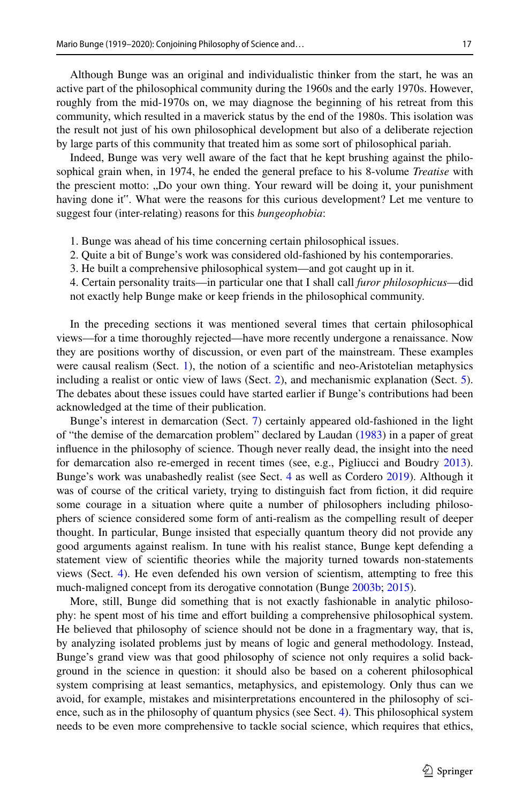Although Bunge was an original and individualistic thinker from the start, he was an active part of the philosophical community during the 1960s and the early 1970s. However, roughly from the mid-1970s on, we may diagnose the beginning of his retreat from this community, which resulted in a maverick status by the end of the 1980s. This isolation was the result not just of his own philosophical development but also of a deliberate rejection by large parts of this community that treated him as some sort of philosophical pariah.

Indeed, Bunge was very well aware of the fact that he kept brushing against the philosophical grain when, in 1974, he ended the general preface to his 8-volume *Treatise* with the prescient motto: "Do your own thing. Your reward will be doing it, your punishment having done it". What were the reasons for this curious development? Let me venture to suggest four (inter-relating) reasons for this *bungeophobia*:

- 1. Bunge was ahead of his time concerning certain philosophical issues.
- 2. Quite a bit of Bunge's work was considered old-fashioned by his contemporaries.
- 3. He built a comprehensive philosophical system—and got caught up in it.
- 4. Certain personality traits—in particular one that I shall call *furor philosophicus*—did not exactly help Bunge make or keep friends in the philosophical community.

In the preceding sections it was mentioned several times that certain philosophical views—for a time thoroughly rejected—have more recently undergone a renaissance. Now they are positions worthy of discussion, or even part of the mainstream. These examples were causal realism (Sect. [1\)](#page-0-0), the notion of a scientific and neo-Aristotelian metaphysics including a realist or ontic view of laws (Sect. [2\)](#page-3-2), and mechanismic explanation (Sect. [5](#page-8-0)). The debates about these issues could have started earlier if Bunge's contributions had been acknowledged at the time of their publication.

Bunge's interest in demarcation (Sect. [7\)](#page-11-0) certainly appeared old-fashioned in the light of "the demise of the demarcation problem" declared by Laudan [\(1983](#page-19-23)) in a paper of great infuence in the philosophy of science. Though never really dead, the insight into the need for demarcation also re-emerged in recent times (see, e.g., Pigliucci and Boudry [2013](#page-19-24)). Bunge's work was unabashedly realist (see Sect. [4](#page-7-0) as well as Cordero [2019\)](#page-18-36). Although it was of course of the critical variety, trying to distinguish fact from fction, it did require some courage in a situation where quite a number of philosophers including philosophers of science considered some form of anti-realism as the compelling result of deeper thought. In particular, Bunge insisted that especially quantum theory did not provide any good arguments against realism. In tune with his realist stance, Bunge kept defending a statement view of scientifc theories while the majority turned towards non-statements views (Sect. [4](#page-7-0)). He even defended his own version of scientism, attempting to free this much-maligned concept from its derogative connotation (Bunge [2003b;](#page-18-19) [2015\)](#page-18-37).

More, still, Bunge did something that is not exactly fashionable in analytic philosophy: he spent most of his time and efort building a comprehensive philosophical system. He believed that philosophy of science should not be done in a fragmentary way, that is, by analyzing isolated problems just by means of logic and general methodology. Instead, Bunge's grand view was that good philosophy of science not only requires a solid background in the science in question: it should also be based on a coherent philosophical system comprising at least semantics, metaphysics, and epistemology. Only thus can we avoid, for example, mistakes and misinterpretations encountered in the philosophy of science, such as in the philosophy of quantum physics (see Sect. [4\)](#page-7-0). This philosophical system needs to be even more comprehensive to tackle social science, which requires that ethics,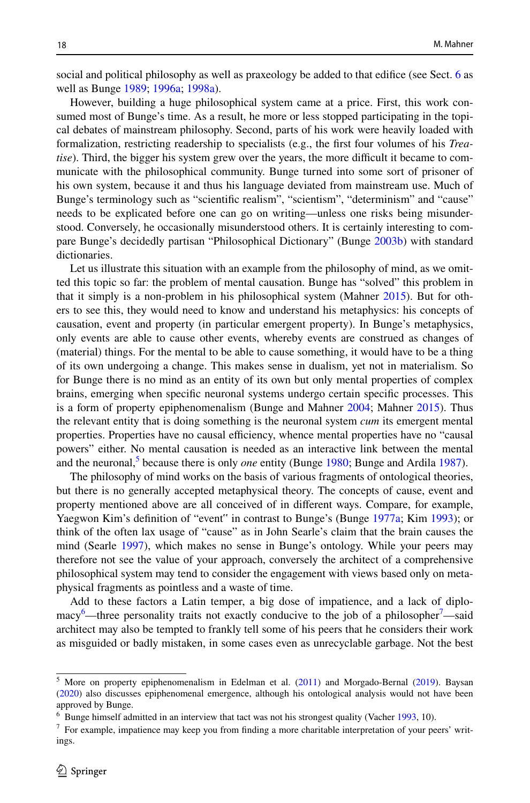social and political philosophy as well as praxeology be added to that edifice (see Sect. [6](#page-9-2) as well as Bunge [1989;](#page-17-19) [1996a;](#page-18-4) [1998a](#page-18-5)).

However, building a huge philosophical system came at a price. First, this work consumed most of Bunge's time. As a result, he more or less stopped participating in the topical debates of mainstream philosophy. Second, parts of his work were heavily loaded with formalization, restricting readership to specialists (e.g., the frst four volumes of his *Treatise*). Third, the bigger his system grew over the years, the more difficult it became to communicate with the philosophical community. Bunge turned into some sort of prisoner of his own system, because it and thus his language deviated from mainstream use. Much of Bunge's terminology such as "scientifc realism", "scientism", "determinism" and "cause" needs to be explicated before one can go on writing—unless one risks being misunderstood. Conversely, he occasionally misunderstood others. It is certainly interesting to compare Bunge's decidedly partisan "Philosophical Dictionary" (Bunge [2003b](#page-18-19)) with standard dictionaries.

Let us illustrate this situation with an example from the philosophy of mind, as we omitted this topic so far: the problem of mental causation. Bunge has "solved" this problem in that it simply is a non-problem in his philosophical system (Mahner [2015\)](#page-19-25). But for others to see this, they would need to know and understand his metaphysics: his concepts of causation, event and property (in particular emergent property). In Bunge's metaphysics, only events are able to cause other events, whereby events are construed as changes of (material) things. For the mental to be able to cause something, it would have to be a thing of its own undergoing a change. This makes sense in dualism, yet not in materialism. So for Bunge there is no mind as an entity of its own but only mental properties of complex brains, emerging when specifc neuronal systems undergo certain specifc processes. This is a form of property epiphenomenalism (Bunge and Mahner [2004](#page-18-12); Mahner [2015\)](#page-19-25). Thus the relevant entity that is doing something is the neuronal system *cum* its emergent mental properties. Properties have no causal efficiency, whence mental properties have no "causal powers" either. No mental causation is needed as an interactive link between the mental and the neuronal,<sup>[5](#page-15-0)</sup> because there is only *one* entity (Bunge [1980](#page-17-20); Bunge and Ardila [1987\)](#page-18-3).

The philosophy of mind works on the basis of various fragments of ontological theories, but there is no generally accepted metaphysical theory. The concepts of cause, event and property mentioned above are all conceived of in diferent ways. Compare, for example, Yaegwon Kim's defnition of "event" in contrast to Bunge's (Bunge [1977a](#page-17-15); Kim [1993](#page-19-26)); or think of the often lax usage of "cause" as in John Searle's claim that the brain causes the mind (Searle [1997](#page-19-27)), which makes no sense in Bunge's ontology. While your peers may therefore not see the value of your approach, conversely the architect of a comprehensive philosophical system may tend to consider the engagement with views based only on metaphysical fragments as pointless and a waste of time.

Add to these factors a Latin temper, a big dose of impatience, and a lack of diplo-macy<sup>[6](#page-15-1)</sup>—three personality traits not exactly conducive to the job of a philosopher<sup>[7](#page-15-2)</sup>—said architect may also be tempted to frankly tell some of his peers that he considers their work as misguided or badly mistaken, in some cases even as unrecyclable garbage. Not the best

<span id="page-15-0"></span><sup>&</sup>lt;sup>5</sup> More on property epiphenomenalism in Edelman et al. [\(2011](#page-18-38)) and Morgado-Bernal ([2019\)](#page-19-28). Baysan [\(2020](#page-16-2)) also discusses epiphenomenal emergence, although his ontological analysis would not have been approved by Bunge.

<span id="page-15-1"></span><sup>6</sup> Bunge himself admitted in an interview that tact was not his strongest quality (Vacher [1993](#page-20-12), 10).

<span id="page-15-2"></span><sup>7</sup> For example, impatience may keep you from fnding a more charitable interpretation of your peers' writings.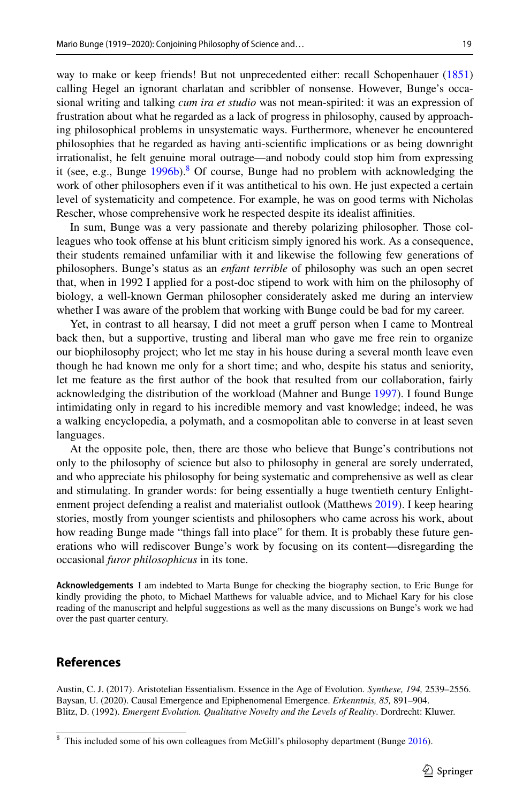way to make or keep friends! But not unprecedented either: recall Schopenhauer [\(1851](#page-19-29)) calling Hegel an ignorant charlatan and scribbler of nonsense. However, Bunge's occasional writing and talking *cum ira et studio* was not mean-spirited: it was an expression of frustration about what he regarded as a lack of progress in philosophy, caused by approaching philosophical problems in unsystematic ways. Furthermore, whenever he encountered philosophies that he regarded as having anti-scientifc implications or as being downright irrationalist, he felt genuine moral outrage—and nobody could stop him from expressing it (see, e.g., Bunge [1996b\)](#page-18-35).<sup>[8](#page-16-3)</sup> Of course, Bunge had no problem with acknowledging the work of other philosophers even if it was antithetical to his own. He just expected a certain level of systematicity and competence. For example, he was on good terms with Nicholas Rescher, whose comprehensive work he respected despite its idealist affinities.

In sum, Bunge was a very passionate and thereby polarizing philosopher. Those colleagues who took ofense at his blunt criticism simply ignored his work. As a consequence, their students remained unfamiliar with it and likewise the following few generations of philosophers. Bunge's status as an *enfant terrible* of philosophy was such an open secret that, when in 1992 I applied for a post-doc stipend to work with him on the philosophy of biology, a well-known German philosopher considerately asked me during an interview whether I was aware of the problem that working with Bunge could be bad for my career.

Yet, in contrast to all hearsay, I did not meet a gruff person when I came to Montreal back then, but a supportive, trusting and liberal man who gave me free rein to organize our biophilosophy project; who let me stay in his house during a several month leave even though he had known me only for a short time; and who, despite his status and seniority, let me feature as the frst author of the book that resulted from our collaboration, fairly acknowledging the distribution of the workload (Mahner and Bunge [1997](#page-19-3)). I found Bunge intimidating only in regard to his incredible memory and vast knowledge; indeed, he was a walking encyclopedia, a polymath, and a cosmopolitan able to converse in at least seven languages.

At the opposite pole, then, there are those who believe that Bunge's contributions not only to the philosophy of science but also to philosophy in general are sorely underrated, and who appreciate his philosophy for being systematic and comprehensive as well as clear and stimulating. In grander words: for being essentially a huge twentieth century Enlightenment project defending a realist and materialist outlook (Matthews [2019](#page-20-1)). I keep hearing stories, mostly from younger scientists and philosophers who came across his work, about how reading Bunge made "things fall into place" for them. It is probably these future generations who will rediscover Bunge's work by focusing on its content—disregarding the occasional *furor philosophicus* in its tone.

**Acknowledgements** I am indebted to Marta Bunge for checking the biography section, to Eric Bunge for kindly providing the photo, to Michael Matthews for valuable advice, and to Michael Kary for his close reading of the manuscript and helpful suggestions as well as the many discussions on Bunge's work we had over the past quarter century.

#### **References**

<span id="page-16-2"></span><span id="page-16-1"></span><span id="page-16-0"></span>Austin, C. J. (2017). Aristotelian Essentialism. Essence in the Age of Evolution. *Synthese, 194,* 2539–2556. Baysan, U. (2020). Causal Emergence and Epiphenomenal Emergence. *Erkenntnis, 85,* 891–904. Blitz, D. (1992). *Emergent Evolution. Qualitative Novelty and the Levels of Reality*. Dordrecht: Kluwer.

<span id="page-16-3"></span><sup>&</sup>lt;sup>8</sup> This included some of his own colleagues from McGill's philosophy department (Bunge [2016\)](#page-18-0).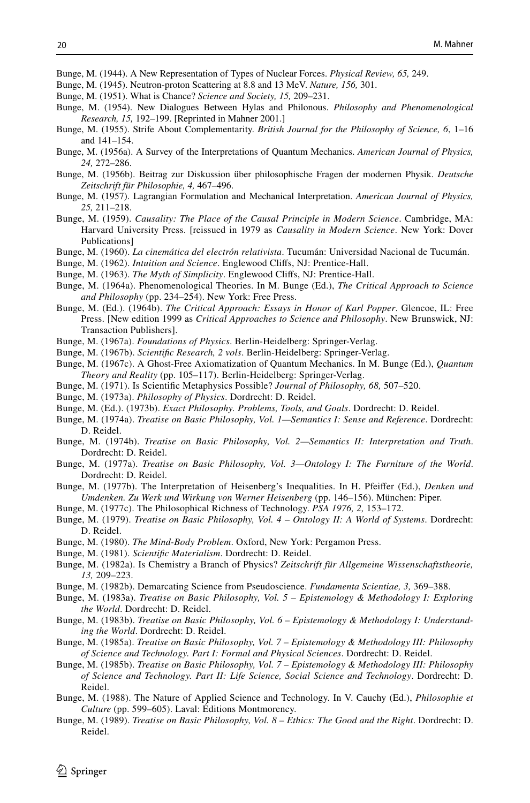<span id="page-17-0"></span>Bunge, M. (1944). A New Representation of Types of Nuclear Forces. *Physical Review, 65,* 249.

- <span id="page-17-1"></span>Bunge, M. (1945). Neutron-proton Scattering at 8.8 and 13 MeV. *Nature, 156,* 301.
- <span id="page-17-3"></span>Bunge, M. (1951). What is Chance? *Science and Society, 15,* 209–231.
- <span id="page-17-4"></span>Bunge, M. (1954). New Dialogues Between Hylas and Philonous. *Philosophy and Phenomenological Research, 15,* 192–199. [Reprinted in Mahner 2001.]
- Bunge, M. (1955). Strife About Complementarity. *British Journal for the Philosophy of Science, 6*, 1–16 and 141–154.
- <span id="page-17-5"></span>Bunge, M. (1956a). A Survey of the Interpretations of Quantum Mechanics. *American Journal of Physics, 24,* 272–286.
- <span id="page-17-6"></span>Bunge, M. (1956b). Beitrag zur Diskussion über philosophische Fragen der modernen Physik. *Deutsche Zeitschrift für Philosophie, 4,* 467–496.
- <span id="page-17-31"></span>Bunge, M. (1957). Lagrangian Formulation and Mechanical Interpretation. *American Journal of Physics, 25,* 211–218.
- <span id="page-17-7"></span>Bunge, M. (1959). *Causality: The Place of the Causal Principle in Modern Science*. Cambridge, MA: Harvard University Press. [reissued in 1979 as *Causality in Modern Science*. New York: Dover Publications]
- <span id="page-17-2"></span>Bunge, M. (1960). *La cinemática del electrón relativista*. Tucumán: Universidad Nacional de Tucumán.
- <span id="page-17-8"></span>Bunge, M. (1962). *Intuition and Science*. Englewood Clifs, NJ: Prentice-Hall.
- <span id="page-17-9"></span>Bunge, M. (1963). *The Myth of Simplicity*. Englewood Clifs, NJ: Prentice-Hall.
- <span id="page-17-30"></span>Bunge, M. (1964a). Phenomenological Theories. In M. Bunge (Ed.), *The Critical Approach to Science and Philosophy* (pp. 234–254). New York: Free Press.
- <span id="page-17-10"></span>Bunge, M. (Ed.). (1964b). *The Critical Approach: Essays in Honor of Karl Popper*. Glencoe, IL: Free Press. [New edition 1999 as *Critical Approaches to Science and Philosophy*. New Brunswick, NJ: Transaction Publishers].
- <span id="page-17-27"></span>Bunge, M. (1967a). *Foundations of Physics*. Berlin-Heidelberg: Springer-Verlag.
- <span id="page-17-11"></span>Bunge, M. (1967b). *Scientifc Research, 2 vols*. Berlin-Heidelberg: Springer-Verlag.
- <span id="page-17-28"></span>Bunge, M. (1967c). A Ghost-Free Axiomatization of Quantum Mechanics. In M. Bunge (Ed.), *Quantum Theory and Reality* (pp. 105–117). Berlin-Heidelberg: Springer-Verlag.
- <span id="page-17-23"></span>Bunge, M. (1971). Is Scientifc Metaphysics Possible? *Journal of Philosophy, 68,* 507–520.
- <span id="page-17-12"></span>Bunge, M. (1973a). *Philosophy of Physics*. Dordrecht: D. Reidel.
- <span id="page-17-24"></span>Bunge, M. (Ed.). (1973b). *Exact Philosophy. Problems, Tools, and Goals*. Dordrecht: D. Reidel.
- <span id="page-17-13"></span>Bunge, M. (1974a). *Treatise on Basic Philosophy, Vol. 1—Semantics I: Sense and Reference*. Dordrecht: D. Reidel.
- <span id="page-17-14"></span>Bunge, M. (1974b). *Treatise on Basic Philosophy, Vol. 2—Semantics II: Interpretation and Truth*. Dordrecht: D. Reidel.
- <span id="page-17-15"></span>Bunge, M. (1977a). *Treatise on Basic Philosophy, Vol. 3—Ontology I: The Furniture of the World*. Dordrecht: D. Reidel.
- <span id="page-17-29"></span>Bunge, M. (1977b). The Interpretation of Heisenberg's Inequalities. In H. Pfeifer (Ed.), *Denken und Umdenken. Zu Werk und Wirkung von Werner Heisenberg* (pp. 146–156). München: Piper.
- <span id="page-17-33"></span>Bunge, M. (1977c). The Philosophical Richness of Technology. *PSA 1976, 2,* 153–172.
- <span id="page-17-16"></span>Bunge, M. (1979). *Treatise on Basic Philosophy, Vol. 4 – Ontology II: A World of Systems*. Dordrecht: D. Reidel.
- <span id="page-17-20"></span>Bunge, M. (1980). *The Mind-Body Problem*. Oxford, New York: Pergamon Press.
- <span id="page-17-21"></span>Bunge, M. (1981). *Scientifc Materialism*. Dordrecht: D. Reidel.
- <span id="page-17-25"></span>Bunge, M. (1982a). Is Chemistry a Branch of Physics? *Zeitschrift für Allgemeine Wissenschaftstheorie, 13,* 209–223.
- <span id="page-17-32"></span>Bunge, M. (1982b). Demarcating Science from Pseudoscience. *Fundamenta Scientiae, 3,* 369–388.
- <span id="page-17-17"></span>Bunge, M. (1983a). *Treatise on Basic Philosophy, Vol. 5 – Epistemology & Methodology I: Exploring the World*. Dordrecht: D. Reidel.
- <span id="page-17-26"></span>Bunge, M. (1983b). *Treatise on Basic Philosophy, Vol. 6 – Epistemology & Methodology I: Understanding the World*. Dordrecht: D. Reidel.
- <span id="page-17-18"></span>Bunge, M. (1985a). *Treatise on Basic Philosophy, Vol. 7 – Epistemology & Methodology III: Philosophy of Science and Technology. Part I: Formal and Physical Sciences*. Dordrecht: D. Reidel.
- <span id="page-17-22"></span>Bunge, M. (1985b). *Treatise on Basic Philosophy, Vol. 7 – Epistemology & Methodology III: Philosophy of Science and Technology. Part II: Life Science, Social Science and Technology*. Dordrecht: D. Reidel.
- <span id="page-17-34"></span>Bunge, M. (1988). The Nature of Applied Science and Technology. In V. Cauchy (Ed.), *Philosophie et Culture* (pp. 599–605). Laval: Éditions Montmorency.
- <span id="page-17-19"></span>Bunge, M. (1989). *Treatise on Basic Philosophy, Vol. 8 – Ethics: The Good and the Right*. Dordrecht: D. Reidel.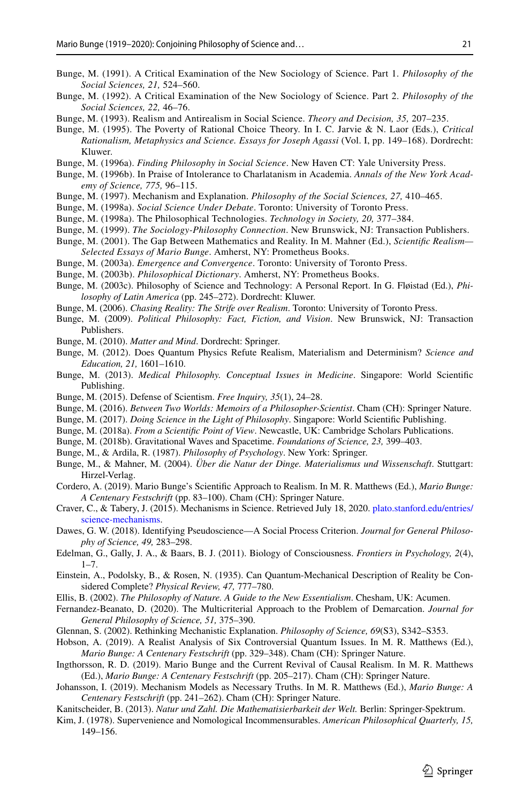- <span id="page-18-32"></span>Bunge, M. (1991). A Critical Examination of the New Sociology of Science. Part 1. *Philosophy of the Social Sciences, 21,* 524–560.
- <span id="page-18-33"></span>Bunge, M. (1992). A Critical Examination of the New Sociology of Science. Part 2. *Philosophy of the Social Sciences, 22,* 46–76.
- <span id="page-18-34"></span>Bunge, M. (1993). Realism and Antirealism in Social Science. *Theory and Decision, 35,* 207–235.
- <span id="page-18-28"></span>Bunge, M. (1995). The Poverty of Rational Choice Theory. In I. C. Jarvie & N. Laor (Eds.), *Critical Rationalism, Metaphysics and Science. Essays for Joseph Agassi* (Vol. I, pp. 149–168). Dordrecht: Kluwer.
- <span id="page-18-4"></span>Bunge, M. (1996a). *Finding Philosophy in Social Science*. New Haven CT: Yale University Press.
- <span id="page-18-35"></span>Bunge, M. (1996b). In Praise of Intolerance to Charlatanism in Academia. *Annals of the New York Academy of Science, 775,* 96–115.
- <span id="page-18-23"></span>Bunge, M. (1997). Mechanism and Explanation. *Philosophy of the Social Sciences, 27,* 410–465.
- <span id="page-18-5"></span>Bunge, M. (1998a). *Social Science Under Debate*. Toronto: University of Toronto Press.
- <span id="page-18-27"></span>Bunge, M. (1998a). The Philosophical Technologies. *Technology in Society, 20,* 377–384.
- <span id="page-18-29"></span>Bunge, M. (1999). *The Sociology-Philosophy Connection*. New Brunswick, NJ: Transaction Publishers.
- <span id="page-18-18"></span>Bunge, M. (2001). The Gap Between Mathematics and Reality. In M. Mahner (Ed.), *Scientifc Realism— Selected Essays of Mario Bunge*. Amherst, NY: Prometheus Books.
- <span id="page-18-8"></span>Bunge, M. (2003a). *Emergence and Convergence*. Toronto: University of Toronto Press.
- <span id="page-18-19"></span>Bunge, M. (2003b). *Philosophical Dictionary*. Amherst, NY: Prometheus Books.
- <span id="page-18-13"></span>Bunge, M. (2003c). Philosophy of Science and Technology: A Personal Report. In G. Fløistad (Ed.), *Philosophy of Latin America* (pp. 245–272). Dordrecht: Kluwer.
- <span id="page-18-9"></span>Bunge, M. (2006). *Chasing Reality: The Strife over Realism*. Toronto: University of Toronto Press.
- <span id="page-18-6"></span>Bunge, M. (2009). *Political Philosophy: Fact, Fiction, and Vision*. New Brunswick, NJ: Transaction Publishers.
- <span id="page-18-10"></span>Bunge, M. (2010). *Matter and Mind*. Dordrecht: Springer.
- <span id="page-18-22"></span>Bunge, M. (2012). Does Quantum Physics Refute Realism, Materialism and Determinism? *Science and Education, 21,* 1601–1610.
- <span id="page-18-7"></span>Bunge, M. (2013). *Medical Philosophy. Conceptual Issues in Medicine*. Singapore: World Scientifc Publishing.
- <span id="page-18-37"></span>Bunge, M. (2015). Defense of Scientism. *Free Inquiry, 35*(1), 24–28.
- <span id="page-18-0"></span>Bunge, M. (2016). *Between Two Worlds: Memoirs of a Philosopher-Scientist*. Cham (CH): Springer Nature.
- <span id="page-18-11"></span>Bunge, M. (2017). *Doing Science in the Light of Philosophy*. Singapore: World Scientifc Publishing.
- <span id="page-18-2"></span>Bunge, M. (2018a). *From a Scientifc Point of View*. Newcastle, UK: Cambridge Scholars Publications.
- <span id="page-18-14"></span>Bunge, M. (2018b). Gravitational Waves and Spacetime. *Foundations of Science, 23,* 399–403.
- <span id="page-18-3"></span>Bunge, M., & Ardila, R. (1987). *Philosophy of Psychology*. New York: Springer.
- <span id="page-18-12"></span>Bunge, M., & Mahner, M. (2004). *Über die Natur der Dinge. Materialismus und Wissenschaft*. Stuttgart: Hirzel-Verlag.
- <span id="page-18-36"></span>Cordero, A. (2019). Mario Bunge's Scientifc Approach to Realism. In M. R. Matthews (Ed.), *Mario Bunge: A Centenary Festschrift* (pp. 83–100). Cham (CH): Springer Nature.
- <span id="page-18-24"></span>Craver, C., & Tabery, J. (2015). Mechanisms in Science. Retrieved July 18, 2020. [plato.stanford.edu/entries/](https://plato.stanford.edu/entries/science-mechanisms) [science-mechanisms.](https://plato.stanford.edu/entries/science-mechanisms)
- <span id="page-18-31"></span>Dawes, G. W. (2018). Identifying Pseudoscience—A Social Process Criterion. *Journal for General Philosophy of Science, 49,* 283–298.
- <span id="page-18-38"></span>Edelman, G., Gally, J. A., & Baars, B. J. (2011). Biology of Consciousness. *Frontiers in Psychology, 2*(4),  $1 - 7$ .
- <span id="page-18-21"></span>Einstein, A., Podolsky, B., & Rosen, N. (1935). Can Quantum-Mechanical Description of Reality be Considered Complete? *Physical Review, 47,* 777–780.
- <span id="page-18-15"></span>Ellis, B. (2002). *The Philosophy of Nature. A Guide to the New Essentialism*. Chesham, UK: Acumen.
- <span id="page-18-30"></span>Fernandez-Beanato, D. (2020). The Multicriterial Approach to the Problem of Demarcation. *Journal for General Philosophy of Science, 51,* 375–390.
- <span id="page-18-25"></span>Glennan, S. (2002). Rethinking Mechanistic Explanation. *Philosophy of Science, 69*(S3), S342–S353.
- <span id="page-18-20"></span>Hobson, A. (2019). A Realist Analysis of Six Controversial Quantum Issues. In M. R. Matthews (Ed.), *Mario Bunge: A Centenary Festschrift* (pp. 329–348). Cham (CH): Springer Nature.
- <span id="page-18-1"></span>Ingthorsson, R. D. (2019). Mario Bunge and the Current Revival of Causal Realism. In M. R. Matthews (Ed.), *Mario Bunge: A Centenary Festschrift* (pp. 205–217). Cham (CH): Springer Nature.
- <span id="page-18-26"></span>Johansson, I. (2019). Mechanism Models as Necessary Truths. In M. R. Matthews (Ed.), *Mario Bunge: A Centenary Festschrift* (pp. 241–262). Cham (CH): Springer Nature.

<span id="page-18-17"></span>Kanitscheider, B. (2013). *Natur und Zahl. Die Mathematisierbarkeit der Welt.* Berlin: Springer-Spektrum.

<span id="page-18-16"></span>Kim, J. (1978). Supervenience and Nomological Incommensurables. *American Philosophical Quarterly, 15,* 149–156.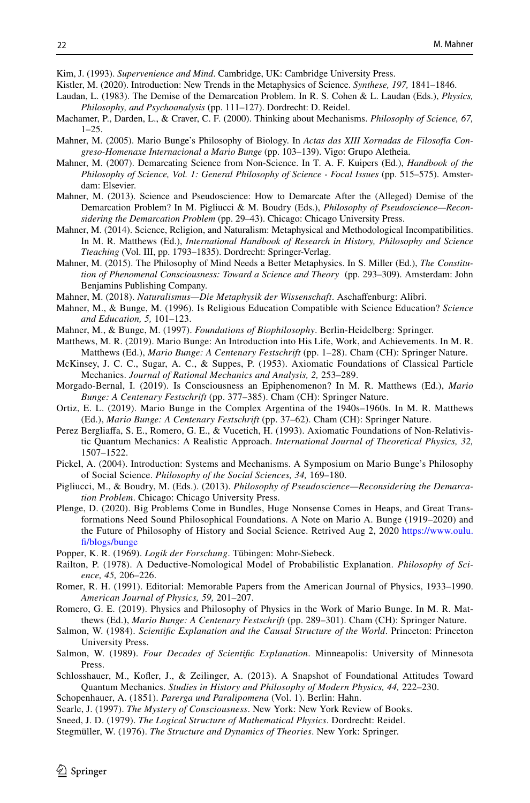<span id="page-19-26"></span>Kim, J. (1993). *Supervenience and Mind*. Cambridge, UK: Cambridge University Press.

- <span id="page-19-4"></span>Kistler, M. (2020). Introduction: New Trends in the Metaphysics of Science. *Synthese, 197,* 1841–1846.
- <span id="page-19-23"></span>Laudan, L. (1983). The Demise of the Demarcation Problem. In R. S. Cohen & L. Laudan (Eds.), *Physics, Philosophy, and Psychoanalysis* (pp. 111–127). Dordrecht: D. Reidel.
- <span id="page-19-12"></span>Machamer, P., Darden, L., & Craver, C. F. (2000). Thinking about Mechanisms. *Philosophy of Science, 67,*  $1 - 25$
- <span id="page-19-2"></span>Mahner, M. (2005). Mario Bunge's Philosophy of Biology. In *Actas das XIII Xornadas de Filosofía Congreso-Homenaxe Internacional a Mario Bunge* (pp. 103–139). Vigo: Grupo Aletheia.
- <span id="page-19-17"></span>Mahner, M. (2007). Demarcating Science from Non-Science. In T. A. F. Kuipers (Ed.), *Handbook of the Philosophy of Science, Vol. 1: General Philosophy of Science - Focal Issues* (pp. 515–575). Amsterdam: Elsevier.
- <span id="page-19-18"></span>Mahner, M. (2013). Science and Pseudoscience: How to Demarcate After the (Alleged) Demise of the Demarcation Problem? In M. Pigliucci & M. Boudry (Eds.), *Philosophy of Pseudoscience—Reconsidering the Demarcation Problem* (pp. 29–43). Chicago: Chicago University Press.
- <span id="page-19-20"></span>Mahner, M. (2014). Science, Religion, and Naturalism: Metaphysical and Methodological Incompatibilities. In M. R. Matthews (Ed.), *International Handbook of Research in History, Philosophy and Science Tteaching* (Vol. III, pp. 1793–1835). Dordrecht: Springer-Verlag.
- <span id="page-19-25"></span>Mahner, M. (2015). The Philosophy of Mind Needs a Better Metaphysics. In S. Miller (Ed.), *The Constitution of Phenomenal Consciousness: Toward a Science and Theory* (pp. 293–309). Amsterdam: John Benjamins Publishing Company.
- <span id="page-19-21"></span>Mahner, M. (2018). *Naturalismus—Die Metaphysik der Wissenschaft*. Aschafenburg: Alibri.
- <span id="page-19-19"></span>Mahner, M., & Bunge, M. (1996). Is Religious Education Compatible with Science Education? *Science and Education, 5,* 101–123.
- <span id="page-19-3"></span>Mahner, M., & Bunge, M. (1997). *Foundations of Biophilosophy*. Berlin-Heidelberg: Springer.
- Matthews, M. R. (2019). Mario Bunge: An Introduction into His Life, Work, and Achievements. In M. R. Matthews (Ed.), *Mario Bunge: A Centenary Festschrift* (pp. 1–28). Cham (CH): Springer Nature.
- <span id="page-19-8"></span>McKinsey, J. C. C., Sugar, A. C., & Suppes, P. (1953). Axiomatic Foundations of Classical Particle Mechanics. *Journal of Rational Mechanics and Analysis, 2,* 253–289.
- <span id="page-19-28"></span>Morgado-Bernal, I. (2019). Is Consciousness an Epiphenomenon? In M. R. Matthews (Ed.), *Mario Bunge: A Centenary Festschrift* (pp. 377–385). Cham (CH): Springer Nature.
- <span id="page-19-0"></span>Ortiz, E. L. (2019). Mario Bunge in the Complex Argentina of the 1940s–1960s. In M. R. Matthews (Ed.), *Mario Bunge: A Centenary Festschrift* (pp. 37–62). Cham (CH): Springer Nature.
- <span id="page-19-7"></span>Perez Bergliafa, S. E., Romero, G. E., & Vucetich, H. (1993). Axiomatic Foundations of Non-Relativistic Quantum Mechanics: A Realistic Approach. *International Journal of Theoretical Physics, 32,* 1507–1522.
- <span id="page-19-16"></span>Pickel, A. (2004). Introduction: Systems and Mechanisms. A Symposium on Mario Bunge's Philosophy of Social Science. *Philosophy of the Social Sciences, 34,* 169–180.
- <span id="page-19-24"></span>Pigliucci, M., & Boudry, M. (Eds.). (2013). *Philosophy of Pseudoscience—Reconsidering the Demarcation Problem*. Chicago: Chicago University Press.
- <span id="page-19-22"></span>Plenge, D. (2020). Big Problems Come in Bundles, Huge Nonsense Comes in Heaps, and Great Transformations Need Sound Philosophical Foundations. A Note on Mario A. Bunge (1919–2020) and the Future of Philosophy of History and Social Science. Retrived Aug 2, 2020 [https://www.oulu.](https://www.oulu.fi/blogs/bunge) [f/blogs/bunge](https://www.oulu.fi/blogs/bunge)

<span id="page-19-5"></span>Popper, K. R. (1969). *Logik der Forschung*. Tübingen: Mohr-Siebeck.

- <span id="page-19-13"></span>Railton, P. (1978). A Deductive-Nomological Model of Probabilistic Explanation. *Philosophy of Science, 45,* 206–226.
- <span id="page-19-1"></span>Romer, R. H. (1991). Editorial: Memorable Papers from the American Journal of Physics, 1933–1990. *American Journal of Physics, 59,* 201–207.
- <span id="page-19-11"></span>Romero, G. E. (2019). Physics and Philosophy of Physics in the Work of Mario Bunge. In M. R. Matthews (Ed.), *Mario Bunge: A Centenary Festschrift* (pp. 289–301). Cham (CH): Springer Nature.
- <span id="page-19-14"></span>Salmon, W. (1984). *Scientifc Explanation and the Causal Structure of the World*. Princeton: Princeton University Press.
- <span id="page-19-15"></span>Salmon, W. (1989). *Four Decades of Scientifc Explanation*. Minneapolis: University of Minnesota Press.
- <span id="page-19-6"></span>Schlosshauer, M., Kofer, J., & Zeilinger, A. (2013). A Snapshot of Foundational Attitudes Toward Quantum Mechanics. *Studies in History and Philosophy of Modern Physics, 44,* 222–230.
- <span id="page-19-29"></span>Schopenhauer, A. (1851). *Parerga und Paralipomena* (Vol. 1). Berlin: Hahn.
- <span id="page-19-27"></span>Searle, J. (1997). *The Mystery of Consciousness*. New York: New York Review of Books.
- <span id="page-19-10"></span>Sneed, J. D. (1979). *The Logical Structure of Mathematical Physics*. Dordrecht: Reidel.
- <span id="page-19-9"></span>Stegmüller, W. (1976). *The Structure and Dynamics of Theories*. New York: Springer.